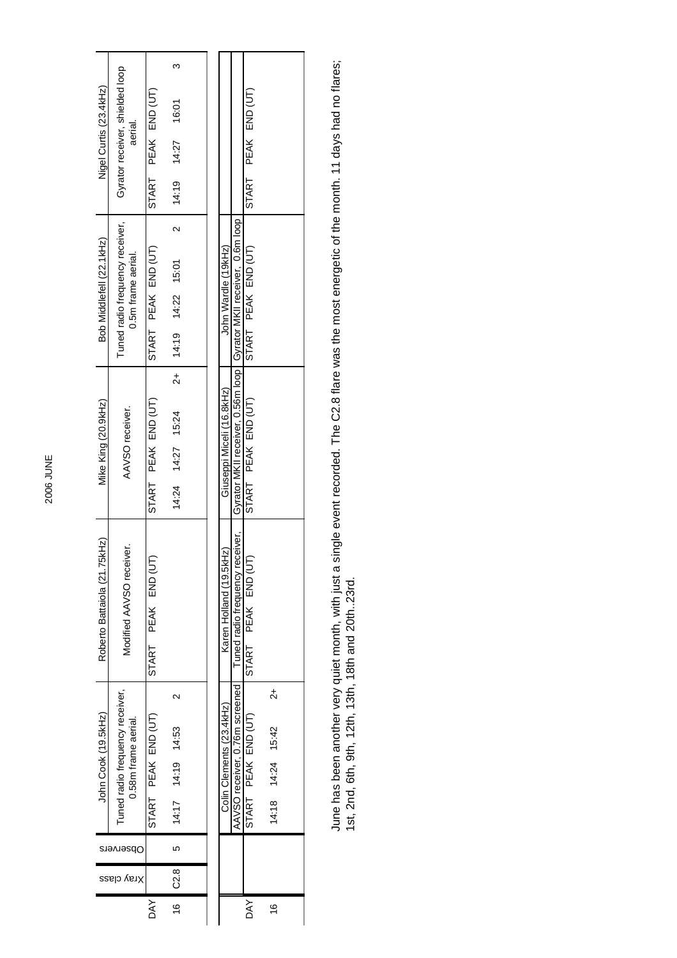| Nigel Curtis (23.4kHz)       | Gyrator receiver, shielded loop<br>aerial.             |                     | ო                                         |  |                           |                                                                      |                     |                                          |  |  |
|------------------------------|--------------------------------------------------------|---------------------|-------------------------------------------|--|---------------------------|----------------------------------------------------------------------|---------------------|------------------------------------------|--|--|
|                              |                                                        | START PEAK END (UT) | 16:01                                     |  |                           |                                                                      | START PEAK END (UT) |                                          |  |  |
|                              |                                                        |                     |                                           |  |                           |                                                                      |                     |                                          |  |  |
|                              |                                                        |                     | 14:19 14:27                               |  |                           |                                                                      |                     |                                          |  |  |
| Bob Middlefell (22.1kHz)     | Tuned radio frequency receiver,<br>0.5m frame aerial.  | START PEAK END (UT) | $\sim$<br>14:19 14:22 15:01               |  | John Wardle (19kHz)       | Gyrator MKII receiver, 0.56m loop   Gyrator MKII receiver, 0.6m loop | START PEAK END (UT) |                                          |  |  |
| Mike King (20.9kHz)          | AAVSO receiver.                                        | START PEAK END (UT) | $^{2+}$<br>$14:24$ $14:27$ 15:24          |  | Giuseppi Miceli (16.8kHz) |                                                                      | START PEAK END (UT) |                                          |  |  |
| Roberto Battaiola (21.75kHz) | Modified AAVSO receiver.                               | START PEAK END (UT) |                                           |  | Karen Holland (19.5kHz)   | Tuned radio frequency receiver,                                      | START PEAK END (UT  |                                          |  |  |
| John Cook (19.5kHz)          | Tuned radio frequency receiver,<br>0.58m frame aerial. | START PEAK END (UT) | $\mathbf{\Omega}$<br>14:19 14:53<br>14:17 |  | Colin Clements (23.4kHz)  | AAVSO receiver, 0.76m screened                                       | START PEAK END (UT) | $\vec{\mathcal{L}}$<br>14:18 14:24 15:42 |  |  |
|                              |                                                        |                     | ပ                                         |  |                           |                                                                      |                     |                                          |  |  |
| Xray class                   |                                                        |                     | C2.8                                      |  |                           |                                                                      |                     |                                          |  |  |
|                              |                                                        | <b>DAY</b>          | 16                                        |  |                           |                                                                      | <b>DAY</b>          | $\frac{6}{5}$                            |  |  |

June has been another very quiet month, with just a single event recorded. The C2.8 flare was the most energetic of the month. 11 days had no flares;<br>1st, 2nd, 6th, 9th, 12th, 18th and 20th..23rd. June has been another very quiet month, with just a single event recorded. The C2.8 flare was the most energetic of the month. 11 days had no flares; 1st, 2nd, 6th, 9th, 12th, 13th, 18th and 20th..23rd.

l,